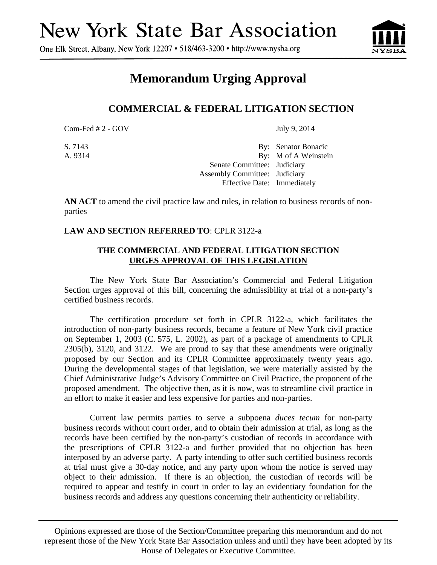One Elk Street, Albany, New York 12207 • 518/463-3200 • http://www.nysba.org



## **Memorandum Urging Approval**

## **COMMERCIAL & FEDERAL LITIGATION SECTION**

 $Com-Fed # 2 - GOV$  July 9, 2014

S. 7143 By: Senator Bonacic A. 9314 By: M of A Weinstein Senate Committee: Judiciary Assembly Committee: Judiciary Effective Date: Immediately

**AN ACT** to amend the civil practice law and rules, in relation to business records of nonparties

## **LAW AND SECTION REFERRED TO**: CPLR 3122-a

## **THE COMMERCIAL AND FEDERAL LITIGATION SECTION URGES APPROVAL OF THIS LEGISLATION**

 The New York State Bar Association's Commercial and Federal Litigation Section urges approval of this bill, concerning the admissibility at trial of a non-party's certified business records.

The certification procedure set forth in CPLR 3122-a, which facilitates the introduction of non-party business records, became a feature of New York civil practice on September 1, 2003 (C. 575, L. 2002), as part of a package of amendments to CPLR 2305(b), 3120, and 3122. We are proud to say that these amendments were originally proposed by our Section and its CPLR Committee approximately twenty years ago. During the developmental stages of that legislation, we were materially assisted by the Chief Administrative Judge's Advisory Committee on Civil Practice, the proponent of the proposed amendment. The objective then, as it is now, was to streamline civil practice in an effort to make it easier and less expensive for parties and non-parties.

Current law permits parties to serve a subpoena *duces tecum* for non-party business records without court order, and to obtain their admission at trial, as long as the records have been certified by the non-party's custodian of records in accordance with the prescriptions of CPLR 3122-a and further provided that no objection has been interposed by an adverse party. A party intending to offer such certified business records at trial must give a 30-day notice, and any party upon whom the notice is served may object to their admission. If there is an objection, the custodian of records will be required to appear and testify in court in order to lay an evidentiary foundation for the business records and address any questions concerning their authenticity or reliability.

Opinions expressed are those of the Section/Committee preparing this memorandum and do not represent those of the New York State Bar Association unless and until they have been adopted by its House of Delegates or Executive Committee.